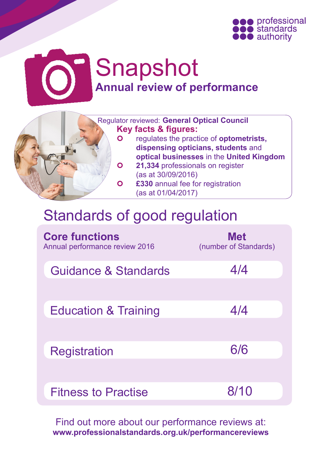

# Snapshot **Annual review of performance**



 Regulator reviewed: **General Optical Council Key facts & figures:** regulates the practice of **optometrists, dispensing opticians, students** and **optical businesses** in the **United Kingdom 21,334** professionals on register (as at 30/09/2016) **£330** annual fee for registration (as at 01/04/2017)

## Standards of good regulation

| <b>Core functions</b><br>Annual performance review 2016 | <b>Met</b><br>(number of Standards) |
|---------------------------------------------------------|-------------------------------------|
| Guidance & Standards                                    | 4/4                                 |
|                                                         |                                     |
| <b>Education &amp; Training</b>                         | 4/4                                 |
|                                                         |                                     |
| Registration                                            | 6/6                                 |
|                                                         |                                     |
| <b>Fitness to Practise</b>                              | 8/10                                |

Find out more about our performance reviews at: **www.professionalstandards.org.uk/performancereviews**